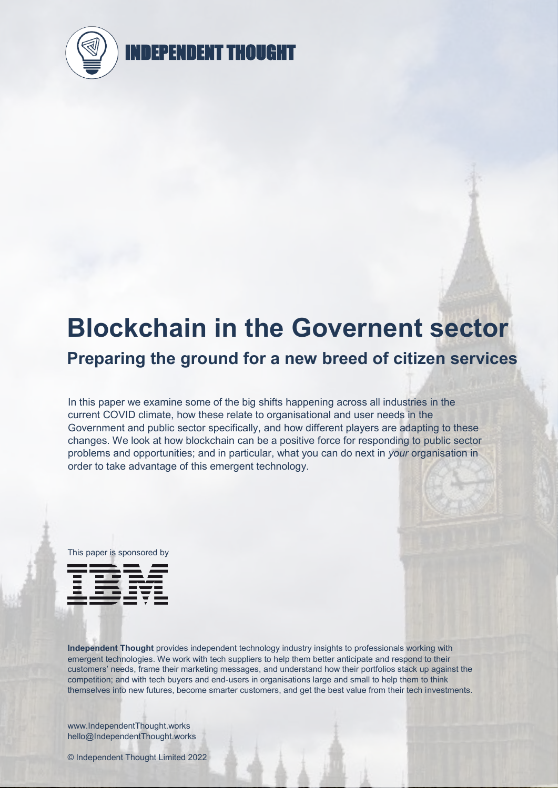

# **Blockchain in the Governent sector**

## **Preparing the ground for a new breed of citizen services**

In this paper we examine some of the big shifts happening across all industries in the current COVID climate, how these relate to organisational and user needs in the Government and public sector specifically, and how different players are adapting to these changes. We look at how blockchain can be a positive force for responding to public sector problems and opportunities; and in particular, what you can do next in *your* organisation in order to take advantage of this emergent technology.



**Independent Thought** provides independent technology industry insights to professionals working with emergent technologies. We work with tech suppliers to help them better anticipate and respond to their customers' needs, frame their marketing messages, and understand how their portfolios stack up against the competition; and with tech buyers and end-users in organisations large and small to help them to think themselves into new futures, become smarter customers, and get the best value from their tech investments.

www.IndependentThought.works hello@IndependentThought.works

© Independent Thought Limited 2022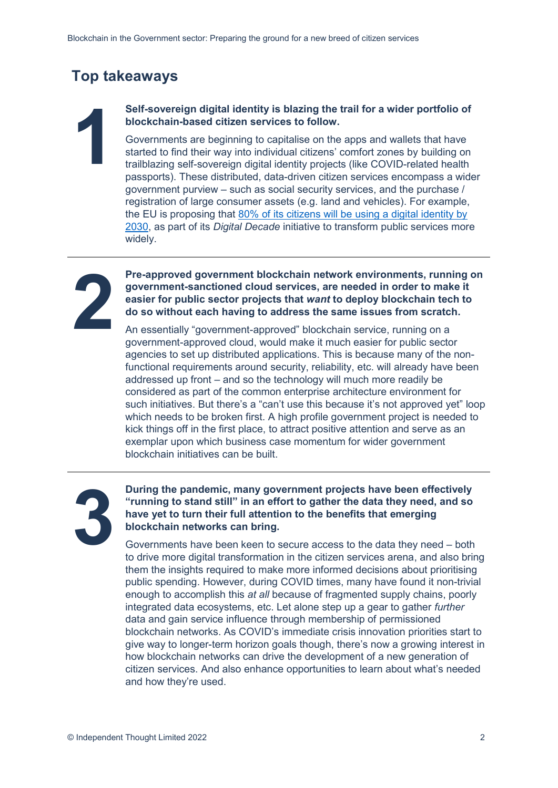### **Top takeaways**

## **blockchain-based citizen services to follow.**

**12 Self-sovereign digital identity is blazing the trail for a wider portfolio of blockchain-based citizen services to follow.**<br>
12 Governments are beginning to capitalise on the apps and wallets that have started to find Governments are beginning to capitalise on the apps and wallets that have started to find their way into individual citizens' comfort zones by building on trailblazing self-sovereign digital identity projects (like COVID-related health passports). These distributed, data-driven citizen services encompass a wider government purview – such as social security services, and the purchase / registration of large consumer assets (e.g. land and vehicles). For example, the EU is proposing that 80% of its citizens will be using a digital identity by 2030, as part of its *Digital Decade* initiative to transform public services more widely.



**22 Pre-approved government blockchain network environments, running on government-sanctioned cloud services, are needed in order to make it easier for public sector projects that want to deploy blockchain tech to do so wi government-sanctioned cloud services, are needed in order to make it easier for public sector projects that** *want* **to deploy blockchain tech to do so without each having to address the same issues from scratch.**

An essentially "government-approved" blockchain service, running on a government-approved cloud, would make it much easier for public sector agencies to set up distributed applications. This is because many of the nonfunctional requirements around security, reliability, etc. will already have been addressed up front – and so the technology will much more readily be considered as part of the common enterprise architecture environment for such initiatives. But there's a "can't use this because it's not approved yet" loop which needs to be broken first. A high profile government project is needed to kick things off in the first place, to attract positive attention and serve as an exemplar upon which business case momentum for wider government blockchain initiatives can be built.

## **33 Puring the pandemic, many government projects have been effectively "running to stand still" in an effort to gather the data they need, and so have yet to turn their full attention to the benefits that emerging blockch "running to stand still" in an effort to gather the data they need, and so have yet to turn their full attention to the benefits that emerging blockchain networks can bring.**

Governments have been keen to secure access to the data they need – both to drive more digital transformation in the citizen services arena, and also bring them the insights required to make more informed decisions about prioritising public spending. However, during COVID times, many have found it non-trivial enough to accomplish this *at all* because of fragmented supply chains, poorly integrated data ecosystems, etc. Let alone step up a gear to gather *further* data and gain service influence through membership of permissioned blockchain networks. As COVID's immediate crisis innovation priorities start to give way to longer-term horizon goals though, there's now a growing interest in how blockchain networks can drive the development of a new generation of citizen services. And also enhance opportunities to learn about what's needed and how they're used.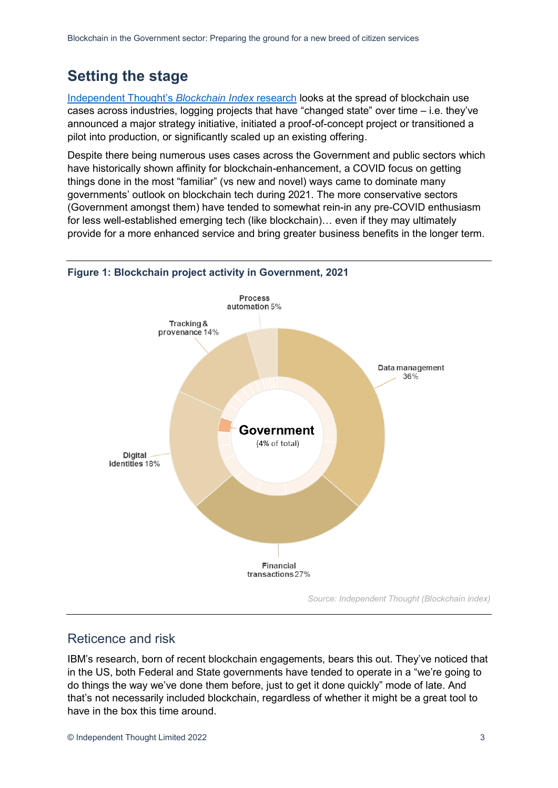## **Setting the stage**

Independent Thought's *Blockchain Index* research looks at the spread of blockchain use cases across industries, logging projects that have "changed state" over time – i.e. they've announced a major strategy initiative, initiated a proof-of-concept project or transitioned a pilot into production, or significantly scaled up an existing offering.

Despite there being numerous uses cases across the Government and public sectors which have historically shown affinity for blockchain-enhancement, a COVID focus on getting things done in the most "familiar" (vs new and novel) ways came to dominate many governments' outlook on blockchain tech during 2021. The more conservative sectors (Government amongst them) have tended to somewhat rein-in any pre-COVID enthusiasm for less well-established emerging tech (like blockchain)… even if they may ultimately provide for a more enhanced service and bring greater business benefits in the longer term.



#### **Figure 1: Blockchain project activity in Government, 2021**

#### Reticence and risk

IBM's research, born of recent blockchain engagements, bears this out. They've noticed that in the US, both Federal and State governments have tended to operate in a "we're going to do things the way we've done them before, just to get it done quickly" mode of late. And that's not necessarily included blockchain, regardless of whether it might be a great tool to have in the box this time around.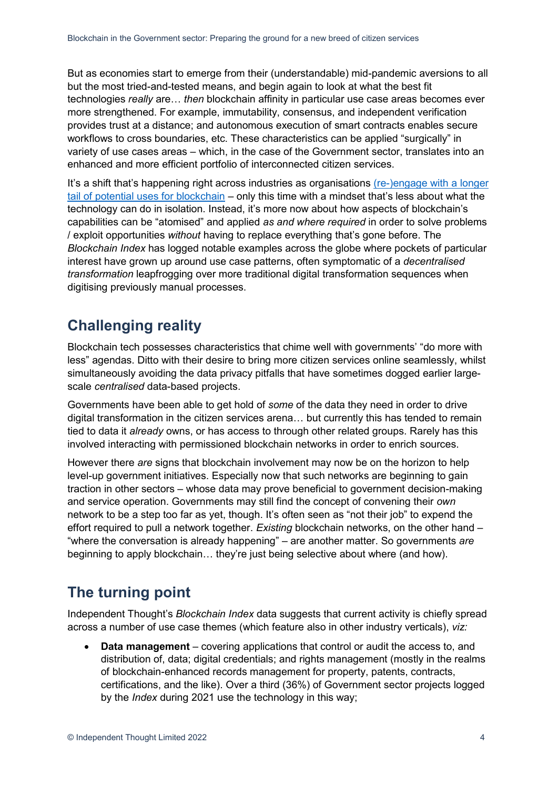But as economies start to emerge from their (understandable) mid-pandemic aversions to all but the most tried-and-tested means, and begin again to look at what the best fit technologies *really* are… *then* blockchain affinity in particular use case areas becomes ever more strengthened. For example, immutability, consensus, and independent verification provides trust at a distance; and autonomous execution of smart contracts enables secure workflows to cross boundaries, etc. These characteristics can be applied "surgically" in variety of use cases areas – which, in the case of the Government sector, translates into an enhanced and more efficient portfolio of interconnected citizen services.

It's a shift that's happening right across industries as organisations (re-)engage with a longer tail of potential uses for blockchain – only this time with a mindset that's less about what the technology can do in isolation. Instead, it's more now about how aspects of blockchain's capabilities can be "atomised" and applied *as and where required* in order to solve problems / exploit opportunities *without* having to replace everything that's gone before. The *Blockchain Index* has logged notable examples across the globe where pockets of particular interest have grown up around use case patterns, often symptomatic of a *decentralised transformation* leapfrogging over more traditional digital transformation sequences when digitising previously manual processes.

## **Challenging reality**

Blockchain tech possesses characteristics that chime well with governments' "do more with less" agendas. Ditto with their desire to bring more citizen services online seamlessly, whilst simultaneously avoiding the data privacy pitfalls that have sometimes dogged earlier largescale *centralised* data-based projects.

Governments have been able to get hold of *some* of the data they need in order to drive digital transformation in the citizen services arena… but currently this has tended to remain tied to data it *already* owns, or has access to through other related groups. Rarely has this involved interacting with permissioned blockchain networks in order to enrich sources.

However there *are* signs that blockchain involvement may now be on the horizon to help level-up government initiatives. Especially now that such networks are beginning to gain traction in other sectors – whose data may prove beneficial to government decision-making and service operation. Governments may still find the concept of convening their *own* network to be a step too far as yet, though. It's often seen as "not their job" to expend the effort required to pull a network together. *Existing* blockchain networks, on the other hand – "where the conversation is already happening" – are another matter. So governments *are*  beginning to apply blockchain… they're just being selective about where (and how).

## **The turning point**

Independent Thought's *Blockchain Index* data suggests that current activity is chiefly spread across a number of use case themes (which feature also in other industry verticals), *viz:*

**• Data management** – covering applications that control or audit the access to, and distribution of, data; digital credentials; and rights management (mostly in the realms of blockchain-enhanced records management for property, patents, contracts, certifications, and the like). Over a third (36%) of Government sector projects logged by the *Index* during 2021 use the technology in this way;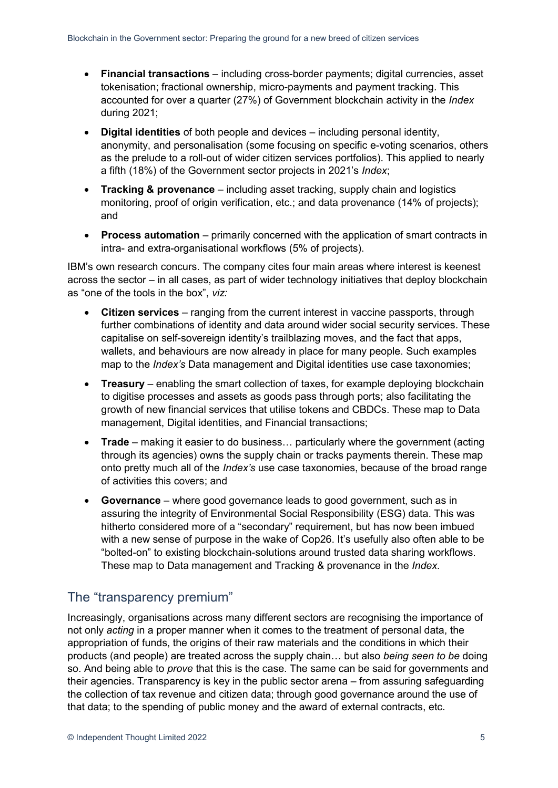- x **Financial transactions** including cross-border payments; digital currencies, asset tokenisation; fractional ownership, micro-payments and payment tracking. This accounted for over a quarter (27%) of Government blockchain activity in the *Index*  during 2021;
- x **Digital identities** of both people and devices including personal identity, anonymity, and personalisation (some focusing on specific e-voting scenarios, others as the prelude to a roll-out of wider citizen services portfolios). This applied to nearly a fifth (18%) of the Government sector projects in 2021's *Index*;
- **Tracking & provenance** including asset tracking, supply chain and logistics monitoring, proof of origin verification, etc.; and data provenance (14% of projects); and
- **Process automation** primarily concerned with the application of smart contracts in intra- and extra-organisational workflows (5% of projects).

IBM's own research concurs. The company cites four main areas where interest is keenest across the sector – in all cases, as part of wider technology initiatives that deploy blockchain as "one of the tools in the box", *viz:*

- **Citizen services** ranging from the current interest in vaccine passports, through further combinations of identity and data around wider social security services. These capitalise on self-sovereign identity's trailblazing moves, and the fact that apps, wallets, and behaviours are now already in place for many people. Such examples map to the *Index's* Data management and Digital identities use case taxonomies;
- **Treasury** enabling the smart collection of taxes, for example deploying blockchain to digitise processes and assets as goods pass through ports; also facilitating the growth of new financial services that utilise tokens and CBDCs. These map to Data management, Digital identities, and Financial transactions;
- **Trade** making it easier to do business... particularly where the government (acting through its agencies) owns the supply chain or tracks payments therein. These map onto pretty much all of the *Index's* use case taxonomies, because of the broad range of activities this covers; and
- x **Governance** where good governance leads to good government, such as in assuring the integrity of Environmental Social Responsibility (ESG) data. This was hitherto considered more of a "secondary" requirement, but has now been imbued with a new sense of purpose in the wake of Cop26. It's usefully also often able to be "bolted-on" to existing blockchain-solutions around trusted data sharing workflows. These map to Data management and Tracking & provenance in the *Index*.

#### The "transparency premium"

Increasingly, organisations across many different sectors are recognising the importance of not only *acting* in a proper manner when it comes to the treatment of personal data, the appropriation of funds, the origins of their raw materials and the conditions in which their products (and people) are treated across the supply chain… but also *being seen to be* doing so. And being able to *prove* that this is the case. The same can be said for governments and their agencies. Transparency is key in the public sector arena – from assuring safeguarding the collection of tax revenue and citizen data; through good governance around the use of that data; to the spending of public money and the award of external contracts, etc.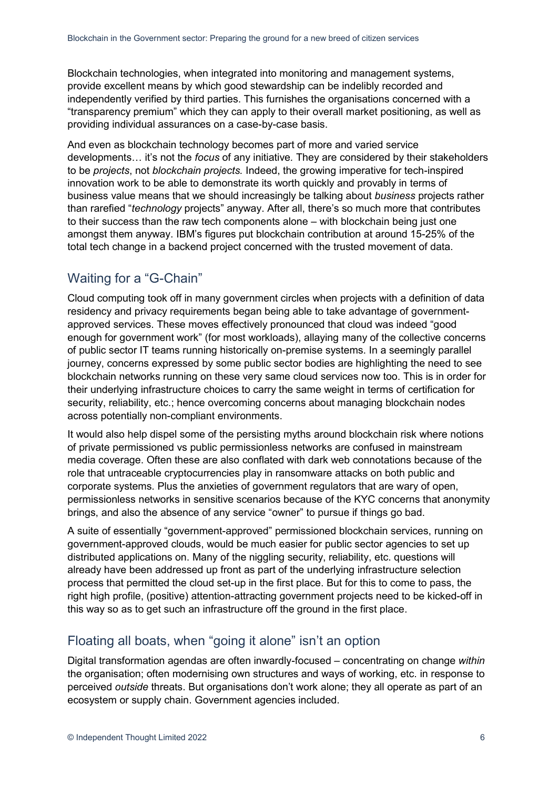Blockchain technologies, when integrated into monitoring and management systems, provide excellent means by which good stewardship can be indelibly recorded and independently verified by third parties. This furnishes the organisations concerned with a "transparency premium" which they can apply to their overall market positioning, as well as providing individual assurances on a case-by-case basis.

And even as blockchain technology becomes part of more and varied service developments… it's not the *focus* of any initiative*.* They are considered by their stakeholders to be *projects*, not *blockchain projects.* Indeed, the growing imperative for tech-inspired innovation work to be able to demonstrate its worth quickly and provably in terms of business value means that we should increasingly be talking about *business* projects rather than rarefied "*technology* projects" anyway. After all, there's so much more that contributes to their success than the raw tech components alone – with blockchain being just one amongst them anyway. IBM's figures put blockchain contribution at around 15-25% of the total tech change in a backend project concerned with the trusted movement of data.

#### Waiting for a "G-Chain"

Cloud computing took off in many government circles when projects with a definition of data residency and privacy requirements began being able to take advantage of governmentapproved services. These moves effectively pronounced that cloud was indeed "good enough for government work" (for most workloads), allaying many of the collective concerns of public sector IT teams running historically on-premise systems. In a seemingly parallel journey, concerns expressed by some public sector bodies are highlighting the need to see blockchain networks running on these very same cloud services now too. This is in order for their underlying infrastructure choices to carry the same weight in terms of certification for security, reliability, etc.; hence overcoming concerns about managing blockchain nodes across potentially non-compliant environments.

It would also help dispel some of the persisting myths around blockchain risk where notions of private permissioned vs public permissionless networks are confused in mainstream media coverage. Often these are also conflated with dark web connotations because of the role that untraceable cryptocurrencies play in ransomware attacks on both public and corporate systems. Plus the anxieties of government regulators that are wary of open, permissionless networks in sensitive scenarios because of the KYC concerns that anonymity brings, and also the absence of any service "owner" to pursue if things go bad.

A suite of essentially "government-approved" permissioned blockchain services, running on government-approved clouds, would be much easier for public sector agencies to set up distributed applications on. Many of the niggling security, reliability, etc. questions will already have been addressed up front as part of the underlying infrastructure selection process that permitted the cloud set-up in the first place. But for this to come to pass, the right high profile, (positive) attention-attracting government projects need to be kicked-off in this way so as to get such an infrastructure off the ground in the first place.

#### Floating all boats, when "going it alone" isn't an option

Digital transformation agendas are often inwardly-focused – concentrating on change *within*  the organisation; often modernising own structures and ways of working, etc. in response to perceived *outside* threats. But organisations don't work alone; they all operate as part of an ecosystem or supply chain. Government agencies included.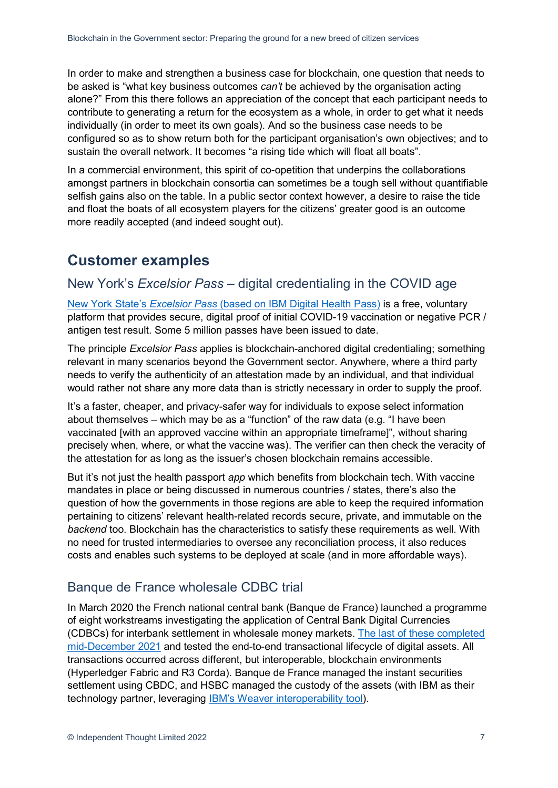In order to make and strengthen a business case for blockchain, one question that needs to be asked is "what key business outcomes *can't* be achieved by the organisation acting alone?" From this there follows an appreciation of the concept that each participant needs to contribute to generating a return for the ecosystem as a whole, in order to get what it needs individually (in order to meet its own goals). And so the business case needs to be configured so as to show return both for the participant organisation's own objectives; and to sustain the overall network. It becomes "a rising tide which will float all boats".

In a commercial environment, this spirit of co-opetition that underpins the collaborations amongst partners in blockchain consortia can sometimes be a tough sell without quantifiable selfish gains also on the table. In a public sector context however, a desire to raise the tide and float the boats of all ecosystem players for the citizens' greater good is an outcome more readily accepted (and indeed sought out).

#### **Customer examples**

#### New York's *Excelsior Pass* – digital credentialing in the COVID age

New York State's *Excelsior Pass* (based on IBM Digital Health Pass) is a free, voluntary platform that provides secure, digital proof of initial COVID-19 vaccination or negative PCR / antigen test result. Some 5 million passes have been issued to date.

The principle *Excelsior Pass* applies is blockchain-anchored digital credentialing; something relevant in many scenarios beyond the Government sector. Anywhere, where a third party needs to verify the authenticity of an attestation made by an individual, and that individual would rather not share any more data than is strictly necessary in order to supply the proof.

It's a faster, cheaper, and privacy-safer way for individuals to expose select information about themselves – which may be as a "function" of the raw data (e.g. "I have been vaccinated [with an approved vaccine within an appropriate timeframe]", without sharing precisely when, where, or what the vaccine was). The verifier can then check the veracity of the attestation for as long as the issuer's chosen blockchain remains accessible.

But it's not just the health passport *app* which benefits from blockchain tech. With vaccine mandates in place or being discussed in numerous countries / states, there's also the question of how the governments in those regions are able to keep the required information pertaining to citizens' relevant health-related records secure, private, and immutable on the *backend* too. Blockchain has the characteristics to satisfy these requirements as well. With no need for trusted intermediaries to oversee any reconciliation process, it also reduces costs and enables such systems to be deployed at scale (and in more affordable ways).

#### Banque de France wholesale CDBC trial

In March 2020 the French national central bank (Banque de France) launched a programme of eight workstreams investigating the application of Central Bank Digital Currencies (CDBCs) for interbank settlement in wholesale money markets. The last of these completed mid-December 2021 and tested the end-to-end transactional lifecycle of digital assets. All transactions occurred across different, but interoperable, blockchain environments (Hyperledger Fabric and R3 Corda). Banque de France managed the instant securities settlement using CBDC, and HSBC managed the custody of the assets (with IBM as their technology partner, leveraging IBM's Weaver interoperability tool).